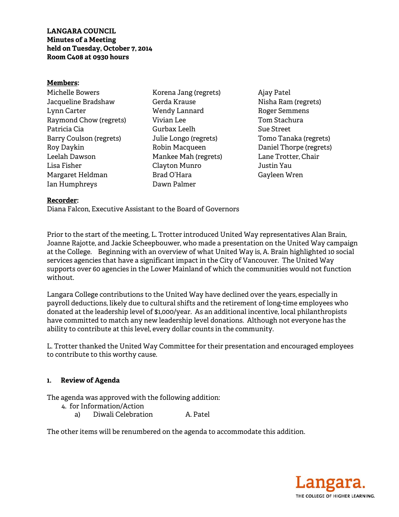**LANGARA COUNCIL Minutes of a Meeting held on Tuesday, October 7, 2014 Room C408 at 0930 hours** 

#### **Members:**

Michelle Bowers Jacqueline Bradshaw Lynn Carter Raymond Chow (regrets) Patricia Cia Barry Coulson (regrets) Roy Daykin Leelah Dawson Lisa Fisher Margaret Heldman Ian Humphreys

Korena Jang (regrets) Gerda Krause Wendy Lannard Vivian Lee Gurbax Leelh Julie Longo (regrets) Robin Macqueen Mankee Mah (regrets) Clayton Munro Brad O'Hara Dawn Palmer

Ajay Patel Nisha Ram (regrets) Roger Semmens Tom Stachura Sue Street Tomo Tanaka (regrets) Daniel Thorpe (regrets) Lane Trotter, Chair Justin Yau Gayleen Wren

#### **Recorder:**

Diana Falcon, Executive Assistant to the Board of Governors

Prior to the start of the meeting, L. Trotter introduced United Way representatives Alan Brain, Joanne Rajotte, and Jackie Scheepbouwer, who made a presentation on the United Way campaign at the College. Beginning with an overview of what United Way is, A. Brain highlighted 10 social services agencies that have a significant impact in the City of Vancouver. The United Way supports over 60 agencies in the Lower Mainland of which the communities would not function without.

Langara College contributions to the United Way have declined over the years, especially in payroll deductions, likely due to cultural shifts and the retirement of long-time employees who donated at the leadership level of \$1,000/year. As an additional incentive, local philanthropists have committed to match any new leadership level donations. Although not everyone has the ability to contribute at this level, every dollar counts in the community.

L. Trotter thanked the United Way Committee for their presentation and encouraged employees to contribute to this worthy cause.

#### **1. Review of Agenda**

The agenda was approved with the following addition:

- 4. for Information/Action
	- a) Diwali Celebration A. Patel

The other items will be renumbered on the agenda to accommodate this addition.

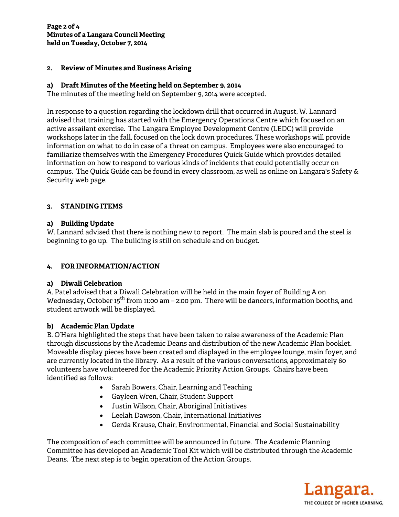### **2. Review of Minutes and Business Arising**

## **a) Draft Minutes of the Meeting held on September 9, 2014**

The minutes of the meeting held on September 9, 2014 were accepted.

In response to a question regarding the lockdown drill that occurred in August, W. Lannard advised that training has started with the Emergency Operations Centre which focused on an active assailant exercise. The Langara Employee Development Centre (LEDC) will provide workshops later in the fall, focused on the lock down procedures. These workshops will provide information on what to do in case of a threat on campus. Employees were also encouraged to familiarize themselves with the Emergency Procedures Quick Guide which provides detailed information on how to respond to various kinds of incidents that could potentially occur on campus. The Quick Guide can be found in every classroom, as well as online on Langara's Safety & Security web page.

# **3. STANDING ITEMS**

### **a) Building Update**

W. Lannard advised that there is nothing new to report. The main slab is poured and the steel is beginning to go up. The building is still on schedule and on budget.

# **4. FOR INFORMATION/ACTION**

### **a) Diwali Celebration**

A. Patel advised that a Diwali Celebration will be held in the main foyer of Building A on Wednesday, October 15<sup>th</sup> from 11:00 am – 2:00 pm. There will be dancers, information booths, and student artwork will be displayed.

# **b) Academic Plan Update**

B. O'Hara highlighted the steps that have been taken to raise awareness of the Academic Plan through discussions by the Academic Deans and distribution of the new Academic Plan booklet. Moveable display pieces have been created and displayed in the employee lounge, main foyer, and are currently located in the library. As a result of the various conversations, approximately 60 volunteers have volunteered for the Academic Priority Action Groups. Chairs have been identified as follows:

- Sarah Bowers, Chair, Learning and Teaching
- Gayleen Wren, Chair, Student Support
- Justin Wilson, Chair, Aboriginal Initiatives
- Leelah Dawson, Chair, International Initiatives
- Gerda Krause, Chair, Environmental, Financial and Social Sustainability

The composition of each committee will be announced in future. The Academic Planning Committee has developed an Academic Tool Kit which will be distributed through the Academic Deans. The next step is to begin operation of the Action Groups.

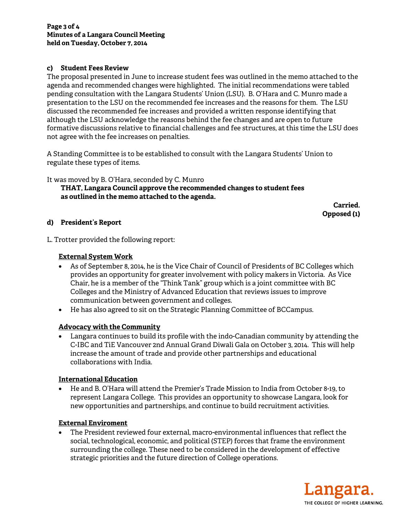## **c) Student Fees Review**

The proposal presented in June to increase student fees was outlined in the memo attached to the agenda and recommended changes were highlighted. The initial recommendations were tabled pending consultation with the Langara Students' Union (LSU). B. O'Hara and C. Munro made a presentation to the LSU on the recommended fee increases and the reasons for them. The LSU discussed the recommended fee increases and provided a written response identifying that although the LSU acknowledge the reasons behind the fee changes and are open to future formative discussions relative to financial challenges and fee structures, at this time the LSU does not agree with the fee increases on penalties.

A Standing Committee is to be established to consult with the Langara Students' Union to regulate these types of items.

It was moved by B. O'Hara, seconded by C. Munro

 **THAT, Langara Council approve the recommended changes to student fees as outlined in the memo attached to the agenda.** 

> **Carried. Opposed (1)**

### **d) President's Report**

L. Trotter provided the following report:

### **External System Work**

- As of September 8, 2014, he is the Vice Chair of Council of Presidents of BC Colleges which provides an opportunity for greater involvement with policy makers in Victoria. As Vice Chair, he is a member of the "Think Tank" group which is a joint committee with BC Colleges and the Ministry of Advanced Education that reviews issues to improve communication between government and colleges.
- He has also agreed to sit on the Strategic Planning Committee of BCCampus.

### **Advocacy with the Community**

• Langara continues to build its profile with the indo-Canadian community by attending the C-IBC and TiE Vancouver 2nd Annual Grand Diwali Gala on October 3, 2014. This will help increase the amount of trade and provide other partnerships and educational collaborations with India.

### **International Education**

• He and B. O'Hara will attend the Premier's Trade Mission to India from October 8-19, to represent Langara College. This provides an opportunity to showcase Langara, look for new opportunities and partnerships, and continue to build recruitment activities.

### **External Enviroment**

• The President reviewed four external, macro-environmental influences that reflect the social, technological, economic, and political (STEP) forces that frame the environment surrounding the college. These need to be considered in the development of effective strategic priorities and the future direction of College operations.